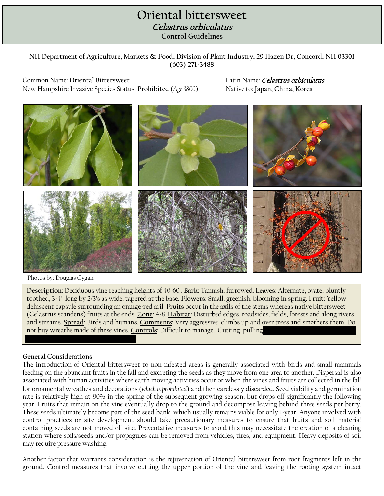## Celastrus orbiculatus **Oriental bittersweet**

**Control Guidelines Control Guidelines**

**NH Department of Agriculture, Markets & Food, Division of Plant Industry, 29 Hazen Dr, Concord, NH 03301 (603) 271-3488**

Common Name: **Oriental Bittersweet** Latin Name: Celastrus orbiculatus New Hampshire Invasive Species Status: **Prohibited** (*Agr 3800*) Native to: **Japan, China, Korea**



Photos by: Douglas Cygan

**Description**: Deciduous vine reaching heights of 40-60'. **Bark**: Tannish, furrowed. **Leaves**: Alternate, ovate, bluntly toothed, 3-4'' long by 2/3's as wide, tapered at the base. **Flowers**: Small, greenish, blooming in spring. **Fruit**: Yellow dehiscent capsule surrounding an orange-red aril. **Fruits** occur in the axils of the stems whereas native bittersweet (Celastrus scandens) fruits at the ends. **Zone**: 4-8. **Habitat**: Disturbed edges, roadsides, fields, forests and along rivers and streams. **Spread**: Birds and humans. **Comments**: Very aggressive, climbs up and over trees and smothers them. Do not buy wreaths made of these vines. **Controls**: Difficult to manage. Cutting, pulling

## **General Considerations**

The introduction of Oriental bittersweet to non infested areas is generally associated with birds and small mammals feeding on the abundant fruits in the fall and excreting the seeds as they move from one area to another. Dispersal is also associated with human activities where earth moving activities occur or when the vines and fruits are collected in the fall for ornamental wreathes and decorations (*which is prohibited*) and then carelessly discarded. Seed viability and germination rate is relatively high at 90% in the spring of the subsequent growing season, but drops off significantly the following year. Fruits that remain on the vine eventually drop to the ground and decompose leaving behind three seeds per berry. These seeds ultimately become part of the seed bank, which usually remains viable for only 1-year. Anyone involved with control practices or site development should take precautionary measures to ensure that fruits and soil material containing seeds are not moved off site. Preventative measures to avoid this may necessitate the creation of a cleaning station where soils/seeds and/or propagules can be removed from vehicles, tires, and equipment. Heavy deposits of soil may require pressure washing.

Another factor that warrants consideration is the rejuvenation of Oriental bittersweet from root fragments left in the ground. Control measures that involve cutting the upper portion of the vine and leaving the rooting system intact